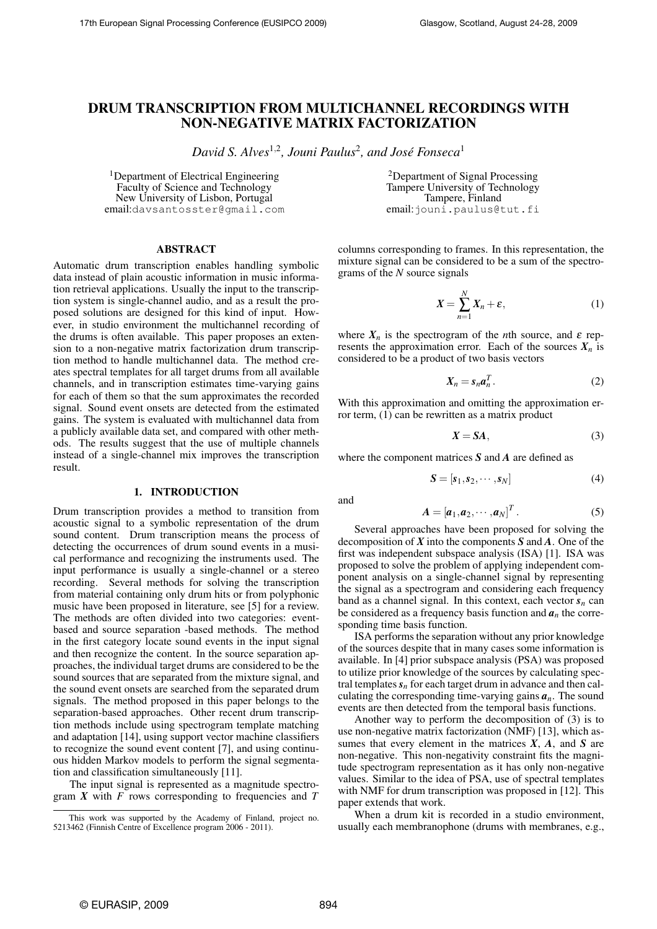# DRUM TRANSCRIPTION FROM MULTICHANNEL RECORDINGS WITH NON-NEGATIVE MATRIX FACTORIZATION

David S. Alves<sup>1,2</sup>, Jouni Paulus<sup>2</sup>, and José Fonseca<sup>1</sup>

and

<sup>1</sup>Department of Electrical Engineering Faculty of Science and Technology New University of Lisbon, Portugal email:davsantosster@gmail.com

<sup>2</sup>Department of Signal Processing Tampere University of Technology Tampere, Finland email:jouni.paulus@tut.fi

## ABSTRACT

Automatic drum transcription enables handling symbolic data instead of plain acoustic information in music information retrieval applications. Usually the input to the transcription system is single-channel audio, and as a result the proposed solutions are designed for this kind of input. However, in studio environment the multichannel recording of the drums is often available. This paper proposes an extension to a non-negative matrix factorization drum transcription method to handle multichannel data. The method creates spectral templates for all target drums from all available channels, and in transcription estimates time-varying gains for each of them so that the sum approximates the recorded signal. Sound event onsets are detected from the estimated gains. The system is evaluated with multichannel data from a publicly available data set, and compared with other methods. The results suggest that the use of multiple channels instead of a single-channel mix improves the transcription result.

## 1. INTRODUCTION

Drum transcription provides a method to transition from acoustic signal to a symbolic representation of the drum sound content. Drum transcription means the process of detecting the occurrences of drum sound events in a musical performance and recognizing the instruments used. The input performance is usually a single-channel or a stereo recording. Several methods for solving the transcription from material containing only drum hits or from polyphonic music have been proposed in literature, see [5] for a review. The methods are often divided into two categories: eventbased and source separation -based methods. The method in the first category locate sound events in the input signal and then recognize the content. In the source separation approaches, the individual target drums are considered to be the sound sources that are separated from the mixture signal, and the sound event onsets are searched from the separated drum signals. The method proposed in this paper belongs to the separation-based approaches. Other recent drum transcription methods include using spectrogram template matching and adaptation [14], using support vector machine classifiers to recognize the sound event content [7], and using continuous hidden Markov models to perform the signal segmentation and classification simultaneously [11].

The input signal is represented as a magnitude spectrogram *X* with *F* rows corresponding to frequencies and *T* columns corresponding to frames. In this representation, the mixture signal can be considered to be a sum of the spectrograms of the *N* source signals

$$
X = \sum_{n=1}^{N} X_n + \varepsilon,\tag{1}
$$

where  $X_n$  is the spectrogram of the *n*th source, and  $\varepsilon$  represents the approximation error. Each of the sources  $X_n$  is considered to be a product of two basis vectors

$$
X_n = s_n a_n^T. \tag{2}
$$

With this approximation and omitting the approximation error term, (1) can be rewritten as a matrix product

$$
X = SA,\tag{3}
$$

where the component matrices *S* and *A* are defined as

$$
\mathbf{S} = [\mathbf{s}_1, \mathbf{s}_2, \cdots, \mathbf{s}_N] \tag{4}
$$

$$
A = [a_1, a_2, \cdots, a_N]^T. \tag{5}
$$

Several approaches have been proposed for solving the decomposition of *X* into the components *S* and *A*. One of the first was independent subspace analysis (ISA) [1]. ISA was proposed to solve the problem of applying independent component analysis on a single-channel signal by representing the signal as a spectrogram and considering each frequency band as a channel signal. In this context, each vector  $s_n$  can be considered as a frequency basis function and  $a_n$  the corresponding time basis function.

ISA performs the separation without any prior knowledge of the sources despite that in many cases some information is available. In [4] prior subspace analysis (PSA) was proposed to utilize prior knowledge of the sources by calculating spectral templates *s<sup>n</sup>* for each target drum in advance and then calculating the corresponding time-varying gains  $a_n$ . The sound events are then detected from the temporal basis functions.

Another way to perform the decomposition of (3) is to use non-negative matrix factorization (NMF) [13], which assumes that every element in the matrices *X*, *A*, and *S* are non-negative. This non-negativity constraint fits the magnitude spectrogram representation as it has only non-negative values. Similar to the idea of PSA, use of spectral templates with NMF for drum transcription was proposed in [12]. This paper extends that work.

When a drum kit is recorded in a studio environment, usually each membranophone (drums with membranes, e.g.,

This work was supported by the Academy of Finland, project no. 5213462 (Finnish Centre of Excellence program 2006 - 2011).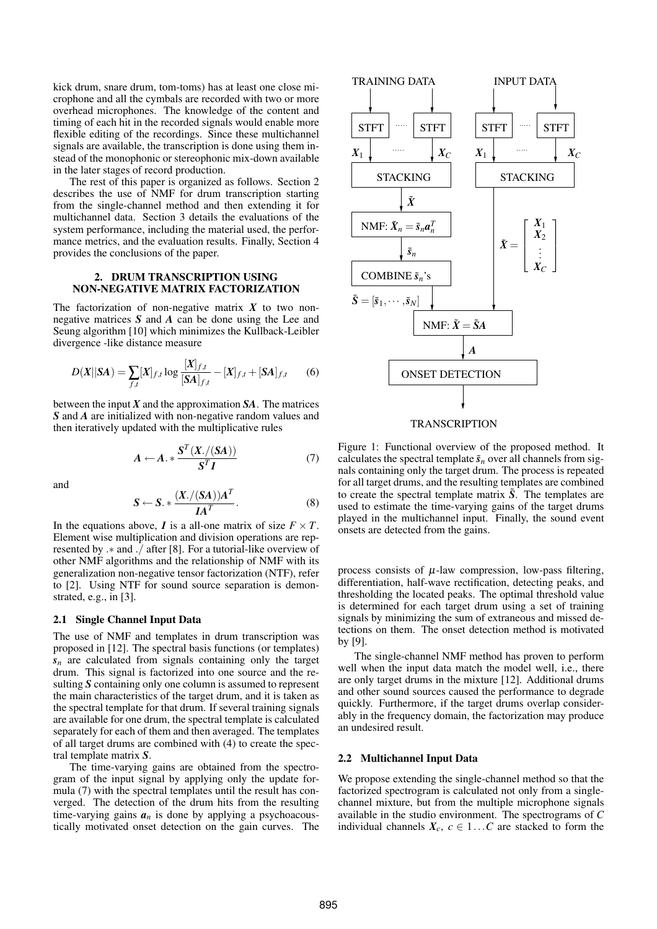kick drum, snare drum, tom-toms) has at least one close microphone and all the cymbals are recorded with two or more overhead microphones. The knowledge of the content and timing of each hit in the recorded signals would enable more flexible editing of the recordings. Since these multichannel signals are available, the transcription is done using them instead of the monophonic or stereophonic mix-down available in the later stages of record production.

The rest of this paper is organized as follows. Section 2 describes the use of NMF for drum transcription starting from the single-channel method and then extending it for multichannel data. Section 3 details the evaluations of the system performance, including the material used, the performance metrics, and the evaluation results. Finally, Section 4 provides the conclusions of the paper.

# 2. DRUM TRANSCRIPTION USING NON-NEGATIVE MATRIX FACTORIZATION

The factorization of non-negative matrix  $X$  to two nonnegative matrices *S* and *A* can be done using the Lee and Seung algorithm [10] which minimizes the Kullback-Leibler divergence -like distance measure

$$
D(X||SA) = \sum_{f,t} [X]_{f,t} \log \frac{[X]_{f,t}}{[SA]_{f,t}} - [X]_{f,t} + [SA]_{f,t} \qquad (6)
$$

between the input  $X$  and the approximation  $SA$ . The matrices *S* and *A* are initialized with non-negative random values and then iteratively updated with the multiplicative rules

$$
A \leftarrow A. * \frac{S^{T}(X./(SA))}{S^{T}I}
$$
 (7)

and

$$
S \leftarrow S. * \frac{(X./(SA))A^T}{IA^T}.
$$
 (8)

In the equations above, *I* is a all-one matrix of size  $F \times T$ . Element wise multiplication and division operations are represented by .∗ and ./ after [8]. For a tutorial-like overview of other NMF algorithms and the relationship of NMF with its generalization non-negative tensor factorization (NTF), refer to [2]. Using NTF for sound source separation is demonstrated, e.g., in [3].

## 2.1 Single Channel Input Data

The use of NMF and templates in drum transcription was proposed in [12]. The spectral basis functions (or templates)  $s_n$  are calculated from signals containing only the target drum. This signal is factorized into one source and the resulting *S* containing only one column is assumed to represent the main characteristics of the target drum, and it is taken as the spectral template for that drum. If several training signals are available for one drum, the spectral template is calculated separately for each of them and then averaged. The templates of all target drums are combined with (4) to create the spectral template matrix *S*.

The time-varying gains are obtained from the spectrogram of the input signal by applying only the update formula (7) with the spectral templates until the result has converged. The detection of the drum hits from the resulting time-varying gains  $a_n$  is done by applying a psychoacoustically motivated onset detection on the gain curves. The



Figure 1: Functional overview of the proposed method. It calculates the spectral template  $\tilde{s}_n$  over all channels from signals containing only the target drum. The process is repeated for all target drums, and the resulting templates are combined to create the spectral template matrix  $\tilde{S}$ . The templates are used to estimate the time-varying gains of the target drums played in the multichannel input. Finally, the sound event onsets are detected from the gains.

process consists of  $\mu$ -law compression, low-pass filtering, differentiation, half-wave rectification, detecting peaks, and thresholding the located peaks. The optimal threshold value is determined for each target drum using a set of training signals by minimizing the sum of extraneous and missed detections on them. The onset detection method is motivated by [9].

The single-channel NMF method has proven to perform well when the input data match the model well, i.e., there are only target drums in the mixture [12]. Additional drums and other sound sources caused the performance to degrade quickly. Furthermore, if the target drums overlap considerably in the frequency domain, the factorization may produce an undesired result.

## 2.2 Multichannel Input Data

We propose extending the single-channel method so that the factorized spectrogram is calculated not only from a singlechannel mixture, but from the multiple microphone signals available in the studio environment. The spectrograms of *C* individual channels  $X_c$ ,  $c \in 1...C$  are stacked to form the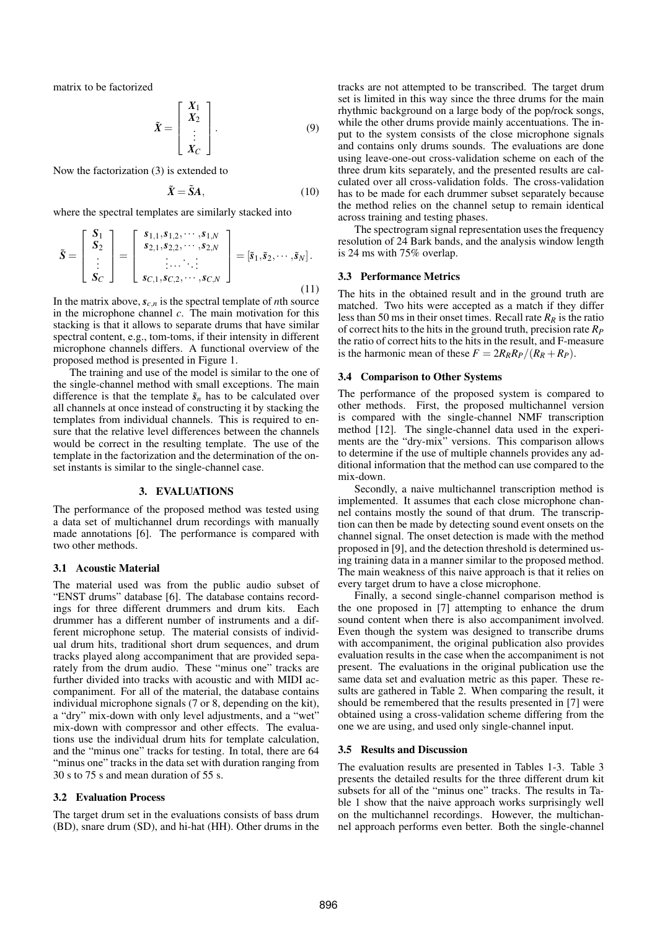matrix to be factorized

$$
\tilde{X} = \begin{bmatrix} X_1 \\ X_2 \\ \vdots \\ X_C \end{bmatrix} . \tag{9}
$$

Now the factorization (3) is extended to

$$
\tilde{\mathbf{X}} = \tilde{\mathbf{S}} \mathbf{A},\tag{10}
$$

where the spectral templates are similarly stacked into

$$
\tilde{S} = \begin{bmatrix} S_1 \\ S_2 \\ \vdots \\ S_C \end{bmatrix} = \begin{bmatrix} s_{1,1}, s_{1,2}, \dots, s_{1,N} \\ s_{2,1}, s_{2,2}, \dots, s_{2,N} \\ \vdots \dots \vdots \\ s_{C,1}, s_{C,2}, \dots, s_{C,N} \end{bmatrix} = [\tilde{s}_1, \tilde{s}_2, \dots, \tilde{s}_N].
$$
\n(11)

In the matrix above,  $s_{c,n}$  is the spectral template of *n*th source in the microphone channel *c*. The main motivation for this stacking is that it allows to separate drums that have similar spectral content, e.g., tom-toms, if their intensity in different microphone channels differs. A functional overview of the proposed method is presented in Figure 1.

The training and use of the model is similar to the one of the single-channel method with small exceptions. The main difference is that the template  $\tilde{s}_n$  has to be calculated over all channels at once instead of constructing it by stacking the templates from individual channels. This is required to ensure that the relative level differences between the channels would be correct in the resulting template. The use of the template in the factorization and the determination of the onset instants is similar to the single-channel case.

## 3. EVALUATIONS

The performance of the proposed method was tested using a data set of multichannel drum recordings with manually made annotations [6]. The performance is compared with two other methods.

#### 3.1 Acoustic Material

The material used was from the public audio subset of "ENST drums" database [6]. The database contains recordings for three different drummers and drum kits. Each drummer has a different number of instruments and a different microphone setup. The material consists of individual drum hits, traditional short drum sequences, and drum tracks played along accompaniment that are provided separately from the drum audio. These "minus one" tracks are further divided into tracks with acoustic and with MIDI accompaniment. For all of the material, the database contains individual microphone signals (7 or 8, depending on the kit), a "dry" mix-down with only level adjustments, and a "wet" mix-down with compressor and other effects. The evaluations use the individual drum hits for template calculation, and the "minus one" tracks for testing. In total, there are 64 "minus one" tracks in the data set with duration ranging from 30 s to 75 s and mean duration of 55 s.

#### 3.2 Evaluation Process

The target drum set in the evaluations consists of bass drum (BD), snare drum (SD), and hi-hat (HH). Other drums in the

tracks are not attempted to be transcribed. The target drum set is limited in this way since the three drums for the main rhythmic background on a large body of the pop/rock songs, while the other drums provide mainly accentuations. The input to the system consists of the close microphone signals and contains only drums sounds. The evaluations are done using leave-one-out cross-validation scheme on each of the three drum kits separately, and the presented results are calculated over all cross-validation folds. The cross-validation has to be made for each drummer subset separately because the method relies on the channel setup to remain identical across training and testing phases.

The spectrogram signal representation uses the frequency resolution of 24 Bark bands, and the analysis window length is 24 ms with 75% overlap.

#### 3.3 Performance Metrics

The hits in the obtained result and in the ground truth are matched. Two hits were accepted as a match if they differ less than 50 ms in their onset times. Recall rate  $R_R$  is the ratio of correct hits to the hits in the ground truth, precision rate *R<sup>P</sup>* the ratio of correct hits to the hits in the result, and F-measure is the harmonic mean of these  $F = 2R_R R_P/(R_R + R_P)$ .

#### 3.4 Comparison to Other Systems

The performance of the proposed system is compared to other methods. First, the proposed multichannel version is compared with the single-channel NMF transcription method [12]. The single-channel data used in the experiments are the "dry-mix" versions. This comparison allows to determine if the use of multiple channels provides any additional information that the method can use compared to the mix-down.

Secondly, a naive multichannel transcription method is implemented. It assumes that each close microphone channel contains mostly the sound of that drum. The transcription can then be made by detecting sound event onsets on the channel signal. The onset detection is made with the method proposed in [9], and the detection threshold is determined using training data in a manner similar to the proposed method. The main weakness of this naive approach is that it relies on every target drum to have a close microphone.

Finally, a second single-channel comparison method is the one proposed in [7] attempting to enhance the drum sound content when there is also accompaniment involved. Even though the system was designed to transcribe drums with accompaniment, the original publication also provides evaluation results in the case when the accompaniment is not present. The evaluations in the original publication use the same data set and evaluation metric as this paper. These results are gathered in Table 2. When comparing the result, it should be remembered that the results presented in [7] were obtained using a cross-validation scheme differing from the one we are using, and used only single-channel input.

## 3.5 Results and Discussion

The evaluation results are presented in Tables 1-3. Table 3 presents the detailed results for the three different drum kit subsets for all of the "minus one" tracks. The results in Table 1 show that the naive approach works surprisingly well on the multichannel recordings. However, the multichannel approach performs even better. Both the single-channel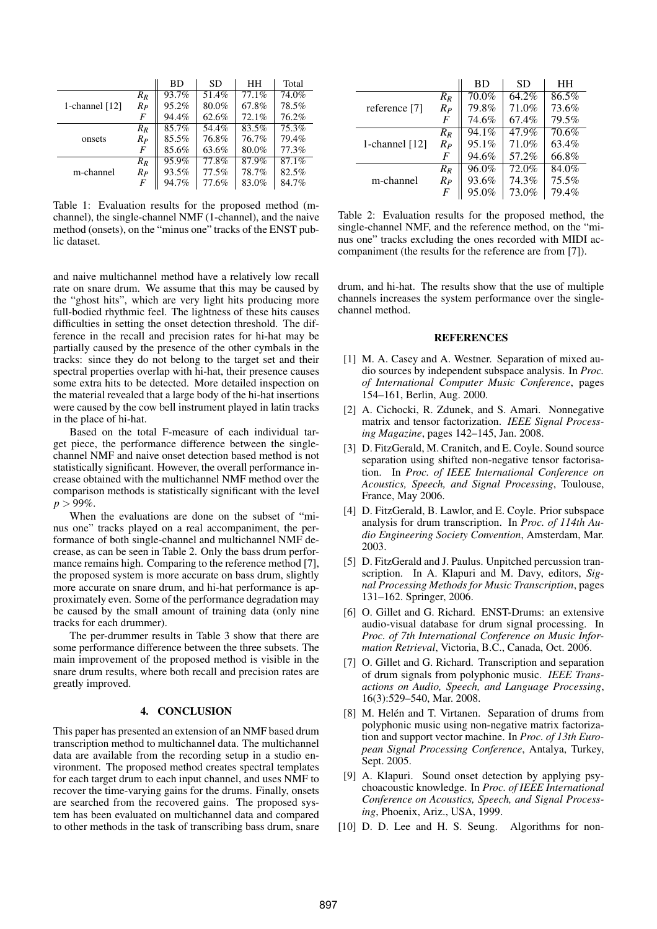|                  |       | <b>BD</b> | <b>SD</b> | HH    | Total |
|------------------|-------|-----------|-----------|-------|-------|
|                  | $R_R$ | 93.7%     | 51.4%     | 77.1% | 74.0% |
| 1-channel $[12]$ | $R_P$ | 95.2%     | 80.0%     | 67.8% | 78.5% |
|                  | F     | 94.4%     | 62.6%     | 72.1% | 76.2% |
| onsets           | $R_R$ | 85.7%     | 54.4%     | 83.5% | 75.3% |
|                  | $R_P$ | 85.5%     | 76.8%     | 76.7% | 79.4% |
|                  | F     | 85.6%     | 63.6%     | 80.0% | 77.3% |
| m-channel        | $R_R$ | 95.9%     | 77.8%     | 87.9% | 87.1% |
|                  | $R_P$ | 93.5%     | 77.5%     | 78.7% | 82.5% |
|                  | F     | 94.7%     | 77.6%     | 83.0% | 84.7% |

Table 1: Evaluation results for the proposed method (mchannel), the single-channel NMF (1-channel), and the naive method (onsets), on the "minus one" tracks of the ENST public dataset.

and naive multichannel method have a relatively low recall rate on snare drum. We assume that this may be caused by the "ghost hits", which are very light hits producing more full-bodied rhythmic feel. The lightness of these hits causes difficulties in setting the onset detection threshold. The difference in the recall and precision rates for hi-hat may be partially caused by the presence of the other cymbals in the tracks: since they do not belong to the target set and their spectral properties overlap with hi-hat, their presence causes some extra hits to be detected. More detailed inspection on the material revealed that a large body of the hi-hat insertions were caused by the cow bell instrument played in latin tracks in the place of hi-hat.

Based on the total F-measure of each individual target piece, the performance difference between the singlechannel NMF and naive onset detection based method is not statistically significant. However, the overall performance increase obtained with the multichannel NMF method over the comparison methods is statistically significant with the level  $p > 99\%$ .

When the evaluations are done on the subset of "minus one" tracks played on a real accompaniment, the performance of both single-channel and multichannel NMF decrease, as can be seen in Table 2. Only the bass drum performance remains high. Comparing to the reference method [7], the proposed system is more accurate on bass drum, slightly more accurate on snare drum, and hi-hat performance is approximately even. Some of the performance degradation may be caused by the small amount of training data (only nine tracks for each drummer).

The per-drummer results in Table 3 show that there are some performance difference between the three subsets. The main improvement of the proposed method is visible in the snare drum results, where both recall and precision rates are greatly improved.

### 4. CONCLUSION

This paper has presented an extension of an NMF based drum transcription method to multichannel data. The multichannel data are available from the recording setup in a studio environment. The proposed method creates spectral templates for each target drum to each input channel, and uses NMF to recover the time-varying gains for the drums. Finally, onsets are searched from the recovered gains. The proposed system has been evaluated on multichannel data and compared to other methods in the task of transcribing bass drum, snare

|                  |                | BD       | SD    | HН    |
|------------------|----------------|----------|-------|-------|
|                  | $R_R$          | 70.0%    | 64.2% | 86.5% |
| reference [7]    | $R_P$          | 79.8%    | 71.0% | 73.6% |
|                  | $\overline{F}$ | 74.6%    | 67.4% | 79.5% |
|                  | $R_R$          | $94.1\%$ | 47.9% | 70.6% |
| 1-channel $[12]$ | $R_P$          | 95.1%    | 71.0% | 63.4% |
|                  | $\overline{F}$ | 94.6%    | 57.2% | 66.8% |
|                  | $R_R$          | 96.0%    | 72.0% | 84.0% |
| m-channel        | $R_P$          | 93.6%    | 74.3% | 75.5% |
|                  | F              | 95.0%    | 73.0% | 79.4% |

Table 2: Evaluation results for the proposed method, the single-channel NMF, and the reference method, on the "minus one" tracks excluding the ones recorded with MIDI accompaniment (the results for the reference are from [7]).

drum, and hi-hat. The results show that the use of multiple channels increases the system performance over the singlechannel method.

## **REFERENCES**

- [1] M. A. Casey and A. Westner. Separation of mixed audio sources by independent subspace analysis. In *Proc. of International Computer Music Conference*, pages 154–161, Berlin, Aug. 2000.
- [2] A. Cichocki, R. Zdunek, and S. Amari. Nonnegative matrix and tensor factorization. *IEEE Signal Processing Magazine*, pages 142–145, Jan. 2008.
- [3] D. FitzGerald, M. Cranitch, and E. Coyle. Sound source separation using shifted non-negative tensor factorisation. In *Proc. of IEEE International Conference on Acoustics, Speech, and Signal Processing*, Toulouse, France, May 2006.
- [4] D. FitzGerald, B. Lawlor, and E. Coyle. Prior subspace analysis for drum transcription. In *Proc. of 114th Audio Engineering Society Convention*, Amsterdam, Mar. 2003.
- [5] D. FitzGerald and J. Paulus. Unpitched percussion transcription. In A. Klapuri and M. Davy, editors, *Signal Processing Methods for Music Transcription*, pages 131–162. Springer, 2006.
- [6] O. Gillet and G. Richard. ENST-Drums: an extensive audio-visual database for drum signal processing. In *Proc. of 7th International Conference on Music Information Retrieval*, Victoria, B.C., Canada, Oct. 2006.
- [7] O. Gillet and G. Richard. Transcription and separation of drum signals from polyphonic music. *IEEE Transactions on Audio, Speech, and Language Processing*, 16(3):529–540, Mar. 2008.
- [8] M. Helén and T. Virtanen. Separation of drums from polyphonic music using non-negative matrix factorization and support vector machine. In *Proc. of 13th European Signal Processing Conference*, Antalya, Turkey, Sept. 2005.
- [9] A. Klapuri. Sound onset detection by applying psychoacoustic knowledge. In *Proc. of IEEE International Conference on Acoustics, Speech, and Signal Processing*, Phoenix, Ariz., USA, 1999.
- [10] D. D. Lee and H. S. Seung. Algorithms for non-